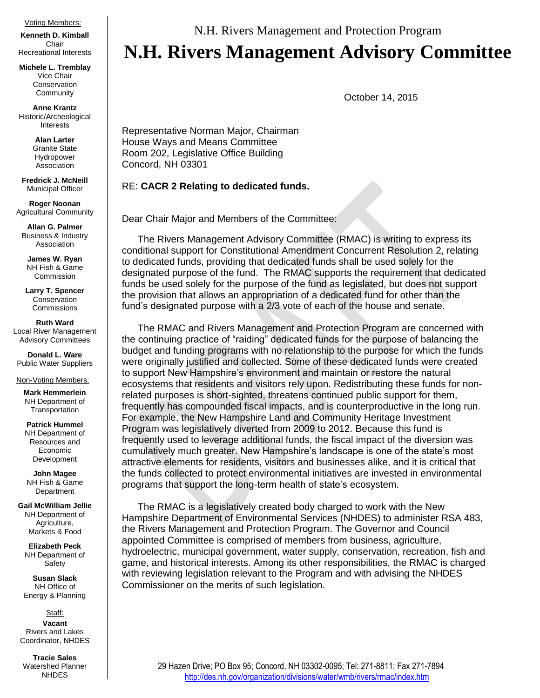## Voting Members:

**Kenneth D. Kimball**  Chair Recreational Interests

**Michele L. Tremblay**  Vice Chair Conservation **Community** 

**Anne Krantz** Historic/Archeological Interests

> **Alan Larter** Granite State Hydropower Association

**Fredrick J. McNeill** Municipal Officer

**Roger Noonan**  Agricultural Community

**Allan G. Palmer** Business & Industry Association

**James W. Ryan** NH Fish & Game Commission

**Larry T. Spencer** Conservation **Commissions** 

**Ruth Ward** Local River Management Advisory Committees

**Donald L. Ware** Public Water Suppliers

## Non-Voting Members:

**Mark Hemmerlein** NH Department of **Transportation** 

**Patrick Hummel** NH Department of Resources and Economic Development

**John Magee** NH Fish & Game **Department** 

**Gail McWilliam Jellie** NH Department of Agriculture, Markets & Food

**Elizabeth Peck** NH Department of Safety

**Susan Slack** NH Office of Energy & Planning

Staff: **Vacant** Rivers and Lakes Coordinator, NHDES

**Tracie Sales** Watershed Planner NHDES

N.H. Rivers Management and Protection Program

## **N.H. Rivers Management Advisory Committee**

October 14, 2015

Representative Norman Major, Chairman House Ways and Means Committee Room 202, Legislative Office Building Concord, NH 03301

## RE: **CACR 2 Relating to dedicated funds.**

Dear Chair Major and Members of the Committee:

The Rivers Management Advisory Committee (RMAC) is writing to express its conditional support for Constitutional Amendment Concurrent Resolution 2, relating to dedicated funds, providing that dedicated funds shall be used solely for the designated purpose of the fund. The RMAC supports the requirement that dedicated funds be used solely for the purpose of the fund as legislated, but does not support the provision that allows an appropriation of a dedicated fund for other than the fund's designated purpose with a 2/3 vote of each of the house and senate.

The RMAC and Rivers Management and Protection Program are concerned with the continuing practice of "raiding" dedicated funds for the purpose of balancing the budget and funding programs with no relationship to the purpose for which the funds were originally justified and collected. Some of these dedicated funds were created to support New Hampshire's environment and maintain or restore the natural ecosystems that residents and visitors rely upon. Redistributing these funds for nonrelated purposes is short-sighted, threatens continued public support for them, frequently has compounded fiscal impacts, and is counterproductive in the long run. For example, the New Hampshire Land and Community Heritage Investment Program was legislatively diverted from 2009 to 2012. Because this fund is frequently used to leverage additional funds, the fiscal impact of the diversion was cumulatively much greater. New Hampshire's landscape is one of the state's most attractive elements for residents, visitors and businesses alike, and it is critical that the funds collected to protect environmental initiatives are invested in environmental programs that support the long-term health of state's ecosystem.

The RMAC is a legislatively created body charged to work with the New Hampshire Department of Environmental Services (NHDES) to administer RSA 483, the Rivers Management and Protection Program. The Governor and Council appointed Committee is comprised of members from business, agriculture, hydroelectric, municipal government, water supply, conservation, recreation, fish and game, and historical interests. Among its other responsibilities, the RMAC is charged with reviewing legislation relevant to the Program and with advising the NHDES Commissioner on the merits of such legislation.